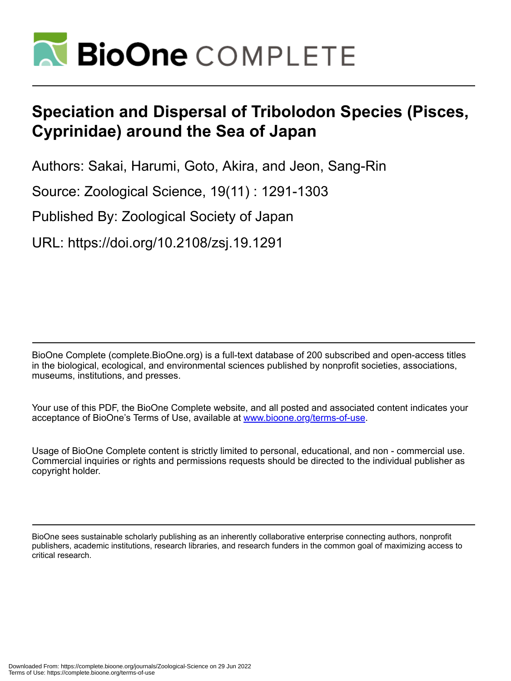

# **Speciation and Dispersal of Tribolodon Species (Pisces, Cyprinidae) around the Sea of Japan**

Authors: Sakai, Harumi, Goto, Akira, and Jeon, Sang-Rin

Source: Zoological Science, 19(11) : 1291-1303

Published By: Zoological Society of Japan

URL: https://doi.org/10.2108/zsj.19.1291

BioOne Complete (complete.BioOne.org) is a full-text database of 200 subscribed and open-access titles in the biological, ecological, and environmental sciences published by nonprofit societies, associations, museums, institutions, and presses.

Your use of this PDF, the BioOne Complete website, and all posted and associated content indicates your acceptance of BioOne's Terms of Use, available at www.bioone.org/terms-of-use.

Usage of BioOne Complete content is strictly limited to personal, educational, and non - commercial use. Commercial inquiries or rights and permissions requests should be directed to the individual publisher as copyright holder.

BioOne sees sustainable scholarly publishing as an inherently collaborative enterprise connecting authors, nonprofit publishers, academic institutions, research libraries, and research funders in the common goal of maximizing access to critical research.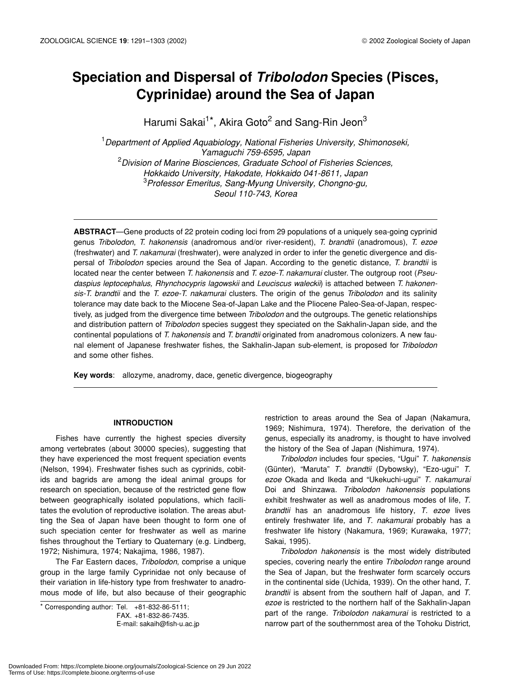# **Speciation and Dispersal of** *Tribolodon* **Species (Pisces, Cyprinidae) around the Sea of Japan**

Harumi Sakai<sup>1\*</sup>, Akira Goto<sup>2</sup> and Sang-Rin Jeon<sup>3</sup>

1 *Department of Applied Aquabiology, National Fisheries University, Shimonoseki, Yamaguchi 759-6595, Japan* 2 *Division of Marine Biosciences, Graduate School of Fisheries Sciences, Hokkaido University, Hakodate, Hokkaido 041-8611, Japan* 3 *Professor Emeritus, Sang-Myung University, Chongno-gu, Seoul 110-743, Korea*

**ABSTRACT**—Gene products of 22 protein coding loci from 29 populations of a uniquely sea-going cyprinid genus *Tribolodon*, *T. hakonensis* (anadromous and/or river-resident), *T. brandtii* (anadromous), *T. ezoe* (freshwater) and *T. nakamurai* (freshwater), were analyzed in order to infer the genetic divergence and dispersal of *Tribolodon* species around the Sea of Japan. According to the genetic distance, *T. brandtii* is located near the center between *T. hakonensis* and *T. ezoe-T. nakamurai* cluster. The outgroup root (*Pseudaspius leptocephalus, Rhynchocypris lagowskii* and *Leuciscus waleckii*) is attached between *T. hakonensis-T. brandtii* and the *T. ezoe-T. nakamurai* clusters. The origin of the genus *Tribolodon* and its salinity tolerance may date back to the Miocene Sea-of-Japan Lake and the Pliocene Paleo-Sea-of-Japan, respectively, as judged from the divergence time between *Tribolodon* and the outgroups. The genetic relationships and distribution pattern of *Tribolodon* species suggest they speciated on the Sakhalin-Japan side, and the continental populations of *T. hakonensis* and *T. brandtii* originated from anadromous colonizers. A new faunal element of Japanese freshwater fishes, the Sakhalin-Japan sub-element, is proposed for *Tribolodon* and some other fishes.

**Key words**: allozyme, anadromy, dace, genetic divergence, biogeography

#### **INTRODUCTION**

Fishes have currently the highest species diversity among vertebrates (about 30000 species), suggesting that they have experienced the most frequent speciation events (Nelson, 1994). Freshwater fishes such as cyprinids, cobitids and bagrids are among the ideal animal groups for research on speciation, because of the restricted gene flow between geographically isolated populations, which facilitates the evolution of reproductive isolation. The areas abutting the Sea of Japan have been thought to form one of such speciation center for freshwater as well as marine fishes throughout the Tertiary to Quaternary (e.g. Lindberg, 1972; Nishimura, 1974; Nakajima, 1986, 1987).

The Far Eastern daces, *Tribolodon*, comprise a unique group in the large family Cyprinidae not only because of their variation in life-history type from freshwater to anadromous mode of life, but also because of their geographic

\* Corresponding author: Tel. +81-832-86-5111; FAX. +81-832-86-7435. E-mail: sakaih@fish-u.ac.jp restriction to areas around the Sea of Japan (Nakamura, 1969; Nishimura, 1974). Therefore, the derivation of the genus, especially its anadromy, is thought to have involved the history of the Sea of Japan (Nishimura, 1974).

*Tribolodon* includes four species, "Ugui" *T. hakonensis* (Günter), "Maruta" *T. brandtii* (Dybowsky), "Ezo-ugui" *T. ezoe* Okada and Ikeda and "Ukekuchi-ugui" *T. nakamurai* Doi and Shinzawa. *Tribolodon hakonensis* populations exhibit freshwater as well as anadromous modes of life, *T. brandtii* has an anadromous life history, *T. ezoe* lives entirely freshwater life, and *T. nakamurai* probably has a freshwater life history (Nakamura, 1969; Kurawaka, 1977; Sakai, 1995).

*Tribolodon hakonensis* is the most widely distributed species, covering nearly the entire *Tribolodon* range around the Sea of Japan, but the freshwater form scarcely occurs in the continental side (Uchida, 1939). On the other hand, *T. brandtii* is absent from the southern half of Japan, and *T. ezoe* is restricted to the northern half of the Sakhalin-Japan part of the range. *Tribolodon nakamurai* is restricted to a narrow part of the southernmost area of the Tohoku District,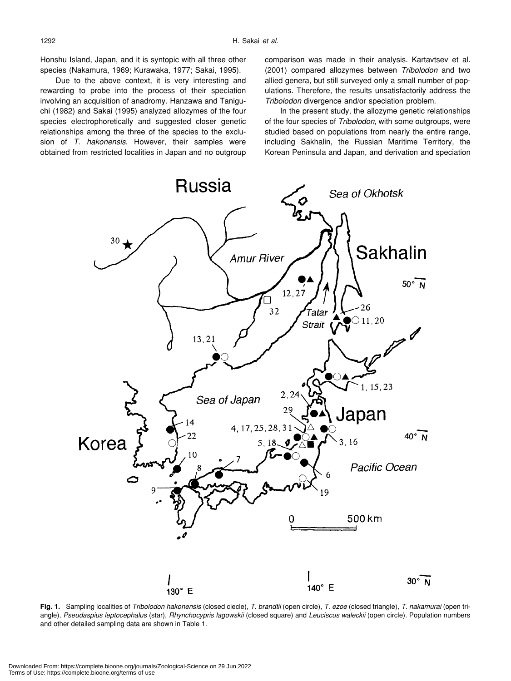Honshu Island, Japan, and it is syntopic with all three other species (Nakamura, 1969; Kurawaka, 1977; Sakai, 1995).

Due to the above context, it is very interesting and rewarding to probe into the process of their speciation involving an acquisition of anadromy. Hanzawa and Taniguchi (1982) and Sakai (1995) analyzed allozymes of the four species electrophoretically and suggested closer genetic relationships among the three of the species to the exclusion of *T. hakonensis*. However, their samples were obtained from restricted localities in Japan and no outgroup comparison was made in their analysis. Kartavtsev et al. (2001) compared allozymes between *Tribolodon* and two allied genera, but still surveyed only a small number of populations. Therefore, the results unsatisfactorily address the *Tribolodon* divergence and/or speciation problem.

In the present study, the allozyme genetic relationships of the four species of *Tribolodon*, with some outgroups, were studied based on populations from nearly the entire range, including Sakhalin, the Russian Maritime Territory, the Korean Peninsula and Japan, and derivation and speciation



**Fig. 1.** Sampling localities of *Tribolodon hakonensis* (closed ciecle), *T. brandtii* (open circle), *T. ezoe* (closed triangle), *T. nakamurai* (open triangle), *Pseudaspius leptocephalus* (star), *Rhynchocypris lagowskii* (closed square) and *Leuciscus waleckii* (open circle). Population numbers and other detailed sampling data are shown in Table 1.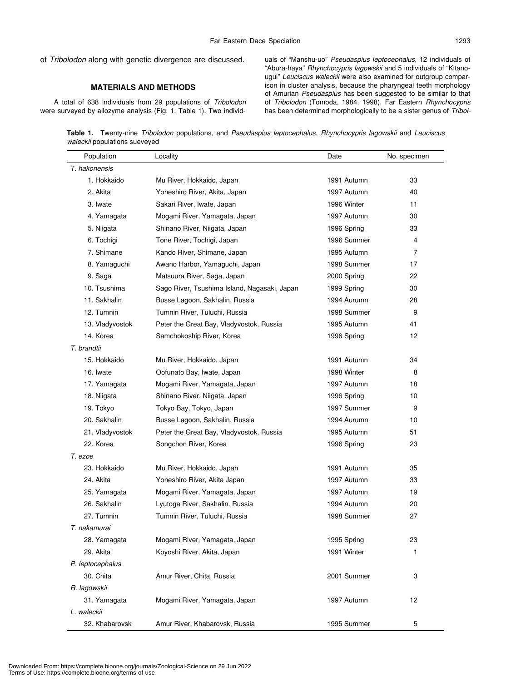# **MATERIALS AND METHODS**

A total of 638 individuals from 29 populations of *Tribolodon* were surveyed by allozyme analysis (Fig. 1, Table 1). Two individuals of "Manshu-uo" *Pseudaspius leptocephalus*, 12 individuals of "Abura-haya" *Rhynchocypris lagowskii* and 5 individuals of "Kitanougui" *Leuciscus waleckii* were also examined for outgroup comparison in cluster analysis, because the pharyngeal teeth morphology of Amurian *Pseudaspius* has been suggested to be similar to that of *Tribolodon* (Tomoda, 1984, 1998), Far Eastern *Rhynchocypris* has been determined morphologically to be a sister genus of *Tribol-*

**Table 1.** Twenty-nine *Tribolodon* populations, and *Pseudaspius leptocephalus*, *Rhynchocypris lagowskii* and *Leuciscus waleckii* populations sueveyed

| Population       | Locality                                     | Date        | No. specimen |
|------------------|----------------------------------------------|-------------|--------------|
| T. hakonensis    |                                              |             |              |
| 1. Hokkaido      | Mu River, Hokkaido, Japan                    | 1991 Autumn | 33           |
| 2. Akita         | Yoneshiro River, Akita, Japan                | 1997 Autumn | 40           |
| 3. Iwate         | Sakari River, Iwate, Japan                   | 1996 Winter | 11           |
| 4. Yamagata      | Mogami River, Yamagata, Japan                | 1997 Autumn | 30           |
| 5. Niigata       | Shinano River, Niigata, Japan                | 1996 Spring | 33           |
| 6. Tochigi       | Tone River, Tochigi, Japan                   | 1996 Summer | 4            |
| 7. Shimane       | Kando River, Shimane, Japan                  | 1995 Autumn | 7            |
| 8. Yamaguchi     | Awano Harbor, Yamaguchi, Japan               | 1998 Summer | 17           |
| 9. Saga          | Matsuura River, Saga, Japan                  | 2000 Spring | 22           |
| 10. Tsushima     | Sago River, Tsushima Island, Nagasaki, Japan | 1999 Spring | 30           |
| 11. Sakhalin     | Busse Lagoon, Sakhalin, Russia               | 1994 Aurumn | 28           |
| 12. Tumnin       | Tumnin River, Tuluchi, Russia                | 1998 Summer | 9            |
| 13. Vladyvostok  | Peter the Great Bay, Vladyvostok, Russia     | 1995 Autumn | 41           |
| 14. Korea        | Samchokoship River, Korea                    | 1996 Spring | 12           |
| T. brandtii      |                                              |             |              |
| 15. Hokkaido     | Mu River, Hokkaido, Japan                    | 1991 Autumn | 34           |
| 16. Iwate        | Oofunato Bay, Iwate, Japan                   | 1998 Winter | 8            |
| 17. Yamagata     | Mogami River, Yamagata, Japan                | 1997 Autumn | 18           |
| 18. Niigata      | Shinano River, Niigata, Japan                | 1996 Spring | 10           |
| 19. Tokyo        | Tokyo Bay, Tokyo, Japan                      | 1997 Summer | 9            |
| 20. Sakhalin     | Busse Lagoon, Sakhalin, Russia               | 1994 Aurumn | 10           |
| 21. Vladyvostok  | Peter the Great Bay, Vladyvostok, Russia     | 1995 Autumn | 51           |
| 22. Korea        | Songchon River, Korea                        | 1996 Spring | 23           |
| T. ezoe          |                                              |             |              |
| 23. Hokkaido     | Mu River, Hokkaido, Japan                    | 1991 Autumn | 35           |
| 24. Akita        | Yoneshiro River, Akita Japan                 | 1997 Autumn | 33           |
| 25. Yamagata     | Mogami River, Yamagata, Japan                | 1997 Autumn | 19           |
| 26. Sakhalin     | Lyutoga River, Sakhalin, Russia              | 1994 Autumn | 20           |
| 27. Tumnin       | Tumnin River, Tuluchi, Russia                | 1998 Summer | 27           |
| T. nakamurai     |                                              |             |              |
| 28. Yamagata     | Mogami River, Yamagata, Japan                | 1995 Spring | 23           |
| 29. Akita        | Koyoshi River, Akita, Japan                  | 1991 Winter | 1            |
| P. leptocephalus |                                              |             |              |
| 30. Chita        | Amur River, Chita, Russia                    | 2001 Summer | 3            |
| R. lagowskii     |                                              |             |              |
| 31. Yamagata     | Mogami River, Yamagata, Japan                | 1997 Autumn | 12           |
| L. waleckii      |                                              |             |              |
| 32. Khabarovsk   | Amur River, Khabarovsk, Russia               | 1995 Summer | 5            |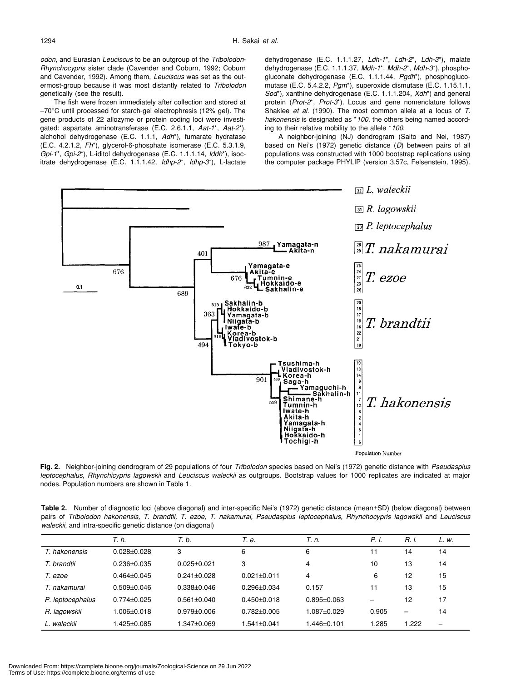*odon*, and Eurasian *Leuciscus* to be an outgroup of the *Tribolodon*-*Rhynchocypris* sister clade (Cavender and Coburn, 1992; Coburn and Cavender, 1992). Among them, *Leuciscus* was set as the outermost-group because it was most distantly related to *Tribolodon* genetically (see the result).

The fish were frozen immediately after collection and stored at –70°C until processed for starch-gel electrophresis (12% gel). The gene products of 22 allozyme or protein coding loci were investigated: aspartate aminotransferase (E.C. 2.6.1.1, *Aat-1*\*, *Aat-2*\*), alchohol dehydrogenase (E.C. 1.1.1, *Adh*\*), fumarate hydratase (E.C. 4.2.1.2, *Fh*\*), glycerol-6-phosphate isomerase (E.C. 5.3.1.9, *Gpi-1*\*, *Gpi-2*\*), L-iditol dehydrogenase (E.C. 1.1.1.14, *Iddh*\*), isocitrate dehydrogenase (E.C. 1.1.1.42, *Idhp-2*\*, *Idhp-3*\*), L-lactate dehydrogenase (E.C. 1.1.1.27, *Ldh-1*\*, *Ldh-2*\*, *Ldh-3*\*), malate dehydrogenase (E.C. 1.1.1.37, *Mdh-1*\*, *Mdh-2*\*, *Mdh-3*\*), phosphogluconate dehydrogenase (E.C. 1.1.1.44, *Pgdh*\*), phosphoglucomutase (E.C. 5.4.2.2, *Pgm*\*), superoxide dismutase (E.C. 1.15.1.1, *Sod*\*), xanthine dehydrogenase (E.C. 1.1.1.204, *Xdh*\*) and general protein (*Prot-2*\*, *Prot-3*\*). Locus and gene nomenclature follows Shaklee *et al*. (1990). The most common allele at a locus of *T. hakonensis* is designated as \**100*, the others being named according to their relative mobility to the allele \**100*.

A neighbor-joining (NJ) dendrogram (Saito and Nei, 1987) based on Nei's (1972) genetic distance (*D*) between pairs of all populations was constructed with 1000 bootstrap replications using the computer package PHYLIP (version 3.57c, Felsenstein, 1995).



**Fig. 2.** Neighbor-joining dendrogram of 29 populations of four *Tribolodon* species based on Nei's (1972) genetic distance with *Pseudaspius leptocephalus*, *Rhynchicypris lagowskii* and *Leuciscus waleckii* as outgroups. Bootstrap values for 1000 replicates are indicated at major nodes. Population numbers are shown in Table 1.

**Table 2.** Number of diagnostic loci (above diagonal) and inter-specific Nei's (1972) genetic distance (mean±SD) (below diagonal) between pairs of *Tribolodon hakonensis, T. brandtii, T. ezoe, T. nakamurai, Pseudaspius leptocephalus, Rhynchocypris lagowskii* and *Leuciscus waleckii*, and intra-specific genetic distance (on diagonal)

|                  | T. h.             | T. b.             | Т. е.             | Т. п.            | P. I.                    | R. I.                    | L. w.                    |
|------------------|-------------------|-------------------|-------------------|------------------|--------------------------|--------------------------|--------------------------|
| T. hakonensis    | $0.028 + 0.028$   | 3                 | 6                 | 6                | ۱1                       | 14                       | 14                       |
| T. brandtii      | $0.236 + 0.035$   | $0.025 + 0.021$   | 3                 | 4                | 10                       | 13                       | 14                       |
| T. ezoe          | $0.464 + 0.045$   | $0.241 \pm 0.028$ | $0.021 \pm 0.011$ | 4                | 6                        | 12                       | 15                       |
| T. nakamurai     | $0.509 + 0.046$   | $0.338 + 0.046$   | $0.296 + 0.034$   | 0.157            | 11                       | 13                       | 15                       |
| P. leptocephalus | $0.774 \pm 0.025$ | $0.561 \pm 0.040$ | $0.450 + 0.018$   | $0.895 + 0.063$  | $\overline{\phantom{0}}$ | 12                       | 17                       |
| R. lagowskii     | 1.006±0.018       | $0.979 + 0.006$   | $0.782 + 0.005$   | $0.087 + 0.029$  | 0.905                    | $\overline{\phantom{0}}$ | 14                       |
| L. waleckii      | $.425 \pm 0.085$  | $.347 \pm 0.069$  | $1.541 \pm 0.041$ | $.446 \pm 0.101$ | 1.285                    | 1.222                    | $\overline{\phantom{0}}$ |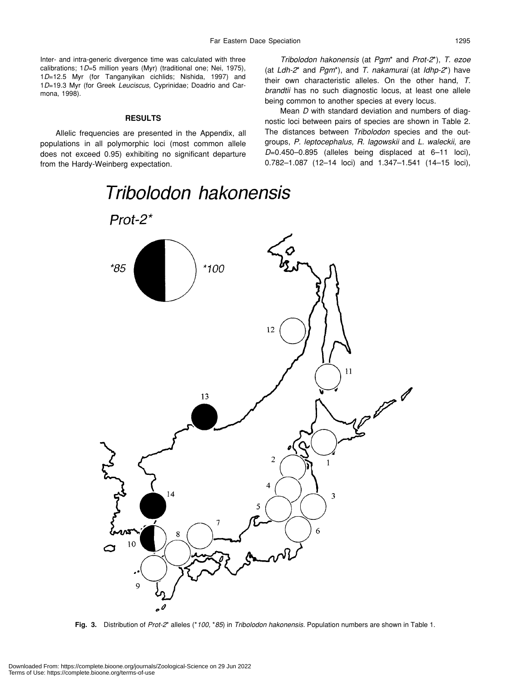Inter- and intra-generic divergence time was calculated with three calibrations; 1*D*=5 million years (Myr) (traditional one; Nei, 1975), 1*D*=12.5 Myr (for Tanganyikan cichlids; Nishida, 1997) and 1*D*=19.3 Myr (for Greek *Leuciscus*, Cyprinidae; Doadrio and Carmona, 1998).

#### **RESULTS**

Allelic frequencies are presented in the Appendix, all populations in all polymorphic loci (most common allele does not exceed 0.95) exhibiting no significant departure from the Hardy-Weinberg expectation.

*Tribolodon hakonensis* (at *Pgm*\* and *Prot-2*\*), *T. ezoe* (at *Ldh-2*\* and *Pgm*\*), and *T. nakamurai* (at *Idhp-2*\*) have their own characteristic alleles. On the other hand, *T. brandtii* has no such diagnostic locus, at least one allele being common to another species at every locus.

Mean *D* with standard deviation and numbers of diagnostic loci between pairs of species are shown in Table 2. The distances between *Tribolodon* species and the outgroups, *P. leptocephalus, R. lagowskii* and *L. waleckii*, are *D*=0.450–0.895 (alleles being displaced at 6–11 loci), 0.782–1.087 (12–14 loci) and 1.347–1.541 (14–15 loci),



**Fig. 3.** Distribution of *Prot-2*\* alleles (\**100,* \**85*) in *Tribolodon hakonensis*. Population numbers are shown in Table 1.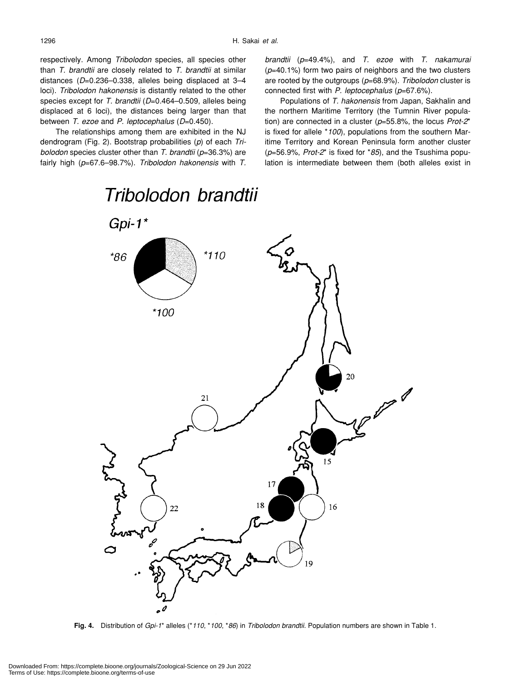respectively. Among *Tribolodon* species, all species other than *T. brandtii* are closely related to *T. brandtii* at similar distances (*D*=0.236–0.338, alleles being displaced at 3–4 loci). *Tribolodon hakonensis* is distantly related to the other species except for *T. brandtii* (*D*=0.464–0.509, alleles being displaced at 6 loci), the distances being larger than that between *T. ezoe* and *P. leptocephalus* (*D*=0.450).

The relationships among them are exhibited in the NJ dendrogram (Fig. 2). Bootstrap probabilities (*p*) of each *Tribolodon* species cluster other than *T. brandtii* (*p*=36.3%) are fairly high (*p*=67.6–98.7%). *Tribolodon hakonensis* with *T.* *brandtii* (*p*=49.4%), and *T. ezoe* with *T. nakamurai* (*p*=40.1%) form two pairs of neighbors and the two clusters are rooted by the outgroups (*p*=68.9%). *Tribolodon* cluster is connected first with *P. leptocephalus* (*p*=67.6%).

Populations of *T. hakonensis* from Japan, Sakhalin and the northern Maritime Territory (the Tumnin River population) are connected in a cluster (*p*=55.8%, the locus *Prot-2*\* is fixed for allele \**100*), populations from the southern Maritime Territory and Korean Peninsula form another cluster (*p*=56.9%, *Prot-2*\* is fixed for \**85*), and the Tsushima population is intermediate between them (both alleles exist in



**Fig. 4.** Distribution of *Gpi-1*\* alleles (\**110*, \**100*, \**86*) in *Tribolodon brandtii*. Population numbers are shown in Table 1.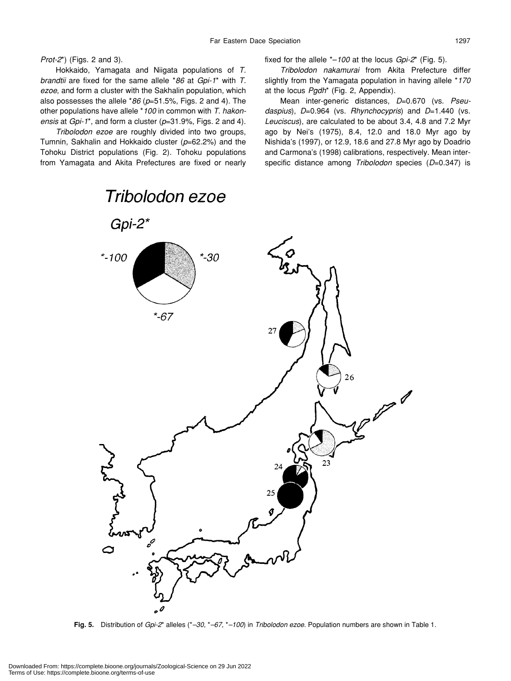*Prot-2*\*) (Figs. 2 and 3).

Hokkaido, Yamagata and Niigata populations of *T. brandtii* are fixed for the same allele \**86* at *Gpi-1*\* with *T. ezoe*, and form a cluster with the Sakhalin population, which also possesses the allele \**86* (*p*=51.5%, Figs. 2 and 4). The other populations have allele \**100* in common with *T. hakonensis* at *Gpi-1*\*, and form a cluster (*p*=31.9%, Figs. 2 and 4).

*Tribolodon ezoe* are roughly divided into two groups, Tumnin, Sakhalin and Hokkaido cluster (*p*=62.2%) and the Tohoku District populations (Fig. 2). Tohoku populations from Yamagata and Akita Prefectures are fixed or nearly fixed for the allele \*–*100* at the locus *Gpi-2*\* (Fig. 5).

*Tribolodon nakamurai* from Akita Prefecture differ slightly from the Yamagata population in having allele \**170* at the locus *Pgdh*\* (Fig. 2, Appendix).

Mean inter-generic distances, *D*=0.670 (vs. *Pseudaspius*), *D*=0.964 (vs. *Rhynchocypris*) and *D*=1.440 (vs. *Leuciscus*), are calculated to be about 3.4, 4.8 and 7.2 Myr ago by Nei's (1975), 8.4, 12.0 and 18.0 Myr ago by Nishida's (1997), or 12.9, 18.6 and 27.8 Myr ago by Doadrio and Carmona's (1998) calibrations, respectively. Mean interspecific distance among *Tribolodon* species (*D*=0.347) is



**Fig. 5.** Distribution of *Gpi-2*\* alleles (\**–30*, \**–67*, \**–100*) in *Tribolodon ezoe*. Population numbers are shown in Table 1.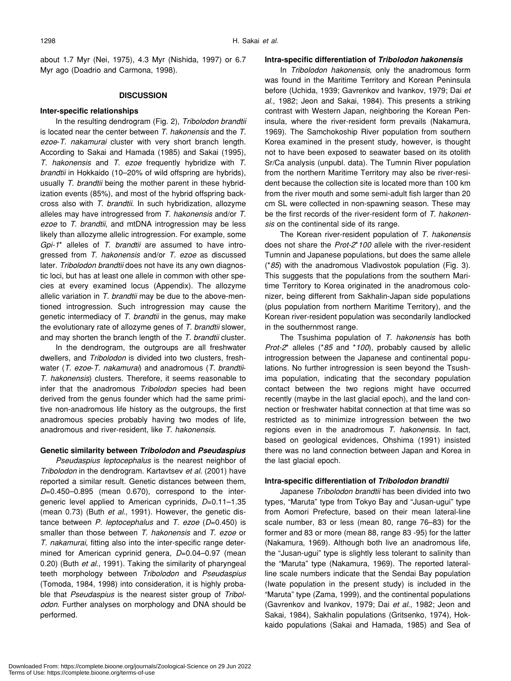about 1.7 Myr (Nei, 1975), 4.3 Myr (Nishida, 1997) or 6.7 Myr ago (Doadrio and Carmona, 1998).

#### **DISCUSSION**

#### **Inter-specific relationships**

In the resulting dendrogram (Fig. 2), *Tribolodon brandtii* is located near the center between *T. hakonensis* and the *T. ezoe*-*T. nakamurai* cluster with very short branch length. According to Sakai and Hamada (1985) and Sakai (1995), *T. hakonensis* and *T. ezoe* frequently hybridize with *T. brandtii* in Hokkaido (10–20% of wild offspring are hybrids), usually *T. brandtii* being the mother parent in these hybridization events (85%), and most of the hybrid offspring backcross also with *T. brandtii*. In such hybridization, allozyme alleles may have introgressed from *T. hakonensis* and/or *T. ezoe* to *T. brandtii*, and mtDNA introgression may be less likely than allozyme allelic introgression. For example, some *Gpi-1*\* alleles of *T. brandtii* are assumed to have introgressed from *T. hakonensis* and/or *T. ezoe* as discussed later. *Tribolodon brandtii* does not have its any own diagnostic loci, but has at least one allele in common with other species at every examined locus (Appendix). The allozyme allelic variation in *T. brandtii* may be due to the above-mentioned introgression. Such introgression may cause the genetic intermediacy of *T. brandtii* in the genus, may make the evolutionary rate of allozyme genes of *T. brandtii* slower, and may shorten the branch length of the *T. brandtii* cluster.

In the dendrogram, the outgroups are all freshwater dwellers, and *Tribolodon* is divided into two clusters, freshwater (*T. ezoe*-*T. nakamurai*) and anadromous (*T. brandtii*-*T. hakonensis*) clusters. Therefore, it seems reasonable to infer that the anadromous *Tribolodon* species had been derived from the genus founder which had the same primitive non-anadromous life history as the outgroups, the first anadromous species probably having two modes of life, anadromous and river-resident, like *T. hakonensis*.

#### **Genetic similarity between** *Tribolodon* **and** *Pseudaspius*

*Pseudaspius leptocephalus* is the nearest neighbor of *Tribolodon* in the dendrogram. Kartavtsev *et al*. (2001) have reported a similar result. Genetic distances between them, *D*=0.450–0.895 (mean 0.670), correspond to the intergeneric level applied to American cyprinids, *D*=0.11–1.35 (mean 0.73) (Buth *et al*., 1991). However, the genetic distance between *P. leptocephalus* and *T. ezoe* (*D*=0.450) is smaller than those between *T. hakonensis* and *T. ezoe* or *T. nakamurai*, fitting also into the inter-specific range determined for American cyprinid genera, *D*=0.04–0.97 (mean 0.20) (Buth *et al*., 1991). Taking the similarity of pharyngeal teeth morphology between *Tribolodon* and *Pseudaspius* (Tomoda, 1984, 1998) into consideration, it is highly probable that *Pseudaspius* is the nearest sister group of *Tribolodon*. Further analyses on morphology and DNA should be performed.

#### **Intra-specific differentiation of** *Tribolodon hakonensis*

In *Tribolodon hakonensis*, only the anadromous form was found in the Maritime Territory and Korean Peninsula before (Uchida, 1939; Gavrenkov and Ivankov, 1979; Dai *et al*., 1982; Jeon and Sakai, 1984). This presents a striking contrast with Western Japan, neighboring the Korean Peninsula, where the river-resident form prevails (Nakamura, 1969). The Samchokoship River population from southern Korea examined in the present study, however, is thought not to have been exposed to seawater based on its otolith Sr/Ca analysis (unpubl. data). The Tumnin River population from the northern Maritime Territory may also be river-resident because the collection site is located more than 100 km from the river mouth and some semi-adult fish larger than 20 cm SL were collected in non-spawning season. These may be the first records of the river-resident form of *T. hakonensis* on the continental side of its range.

The Korean river-resident population of *T. hakonensis* does not share the *Prot-2*\**100* allele with the river-resident Tumnin and Japanese populations, but does the same allele (\**85*) with the anadromous Vladivostok population (Fig. 3). This suggests that the populations from the southern Maritime Territory to Korea originated in the anadromous colonizer, being different from Sakhalin-Japan side populations (plus population from northern Maritime Territory), and the Korean river-resident population was secondarily landlocked in the southernmost range.

The Tsushima population of *T. hakonensis* has both *Prot-2*\* alleles (\**85* and \**100*), probably caused by allelic introgression between the Japanese and continental populations. No further introgression is seen beyond the Tsushima population, indicating that the secondary population contact between the two regions might have occurred recently (maybe in the last glacial epoch), and the land connection or freshwater habitat connection at that time was so restricted as to minimize introgression between the two regions even in the anadromous *T. hakonensis*. In fact, based on geological evidences, Ohshima (1991) insisted there was no land connection between Japan and Korea in the last glacial epoch.

#### **Intra-specific differentiation of** *Tribolodon brandtii*

Japanese *Tribolodon brandtii* has been divided into two types, "Maruta" type from Tokyo Bay and "Jusan-ugui" type from Aomori Prefecture, based on their mean lateral-line scale number, 83 or less (mean 80, range 76–83) for the former and 83 or more (mean 88, range 83 -95) for the latter (Nakamura, 1969). Although both live an anadromous life, the "Jusan-ugui" type is slightly less tolerant to salinity than the "Maruta" type (Nakamura, 1969). The reported lateralline scale numbers indicate that the Sendai Bay population (Iwate population in the present study) is included in the "Maruta" type (Zama, 1999), and the continental populations (Gavrenkov and Ivankov, 1979; Dai *et al*., 1982; Jeon and Sakai, 1984), Sakhalin populations (Gritsenko, 1974), Hokkaido populations (Sakai and Hamada, 1985) and Sea of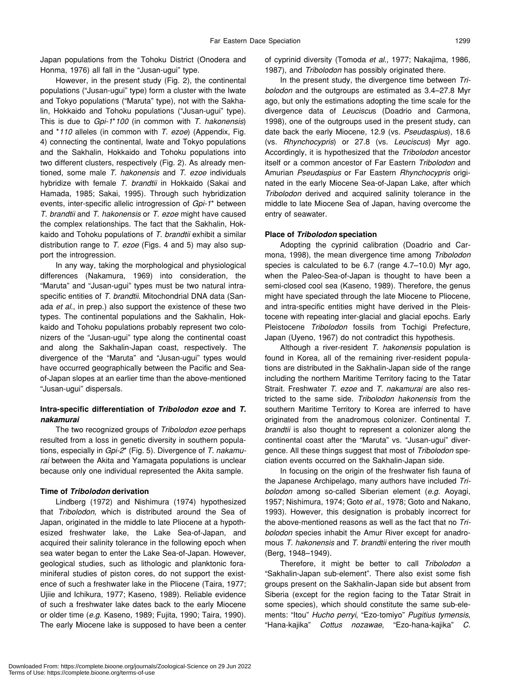Japan populations from the Tohoku District (Onodera and Honma, 1976) all fall in the "Jusan-ugui" type.

However, in the present study (Fig. 2), the continental populations ("Jusan-ugui" type) form a cluster with the Iwate and Tokyo populations ("Maruta" type), not with the Sakhalin, Hokkaido and Tohoku populations ("Jusan-ugui" type). This is due to *Gpi-1*\**100* (in common with *T. hakonensis*) and \**110* alleles (in common with *T. ezoe*) (Appendix, Fig. 4) connecting the continental, Iwate and Tokyo populations and the Sakhalin, Hokkaido and Tohoku populations into two different clusters, respectively (Fig. 2). As already mentioned, some male *T. hakonensis* and *T. ezoe* individuals hybridize with female *T. brandtii* in Hokkaido (Sakai and Hamada, 1985; Sakai, 1995). Through such hybridization events, inter-specific allelic introgression of *Gpi-1*\* between *T. brandtii* and *T. hakonensis* or *T. ezoe* might have caused the complex relationships. The fact that the Sakhalin, Hokkaido and Tohoku populations of *T. brandtii* exhibit a similar distribution range to *T. ezoe* (Figs. 4 and 5) may also support the introgression.

In any way, taking the morphological and physiological differences (Nakamura, 1969) into consideration, the "Maruta" and "Jusan-ugui" types must be two natural intraspecific entities of *T. brandtii*. Mitochondrial DNA data (Sanada *et al*., in prep.) also support the existence of these two types. The continental populations and the Sakhalin, Hokkaido and Tohoku populations probably represent two colonizers of the "Jusan-ugui" type along the continental coast and along the Sakhalin-Japan coast, respectively. The divergence of the "Maruta" and "Jusan-ugui" types would have occurred geographically between the Pacific and Seaof-Japan slopes at an earlier time than the above-mentioned "Jusan-ugui" dispersals.

## **Intra-specific differentiation of** *Tribolodon ezoe* **and** *T. nakamurai*

The two recognized groups of *Tribolodon ezoe* perhaps resulted from a loss in genetic diversity in southern populations, especially in *Gpi-2*\* (Fig. 5). Divergence of *T. nakamurai* between the Akita and Yamagata populations is unclear because only one individual represented the Akita sample.

#### **Time of** *Tribolodon* **derivation**

Lindberg (1972) and Nishimura (1974) hypothesized that *Tribolodon*, which is distributed around the Sea of Japan, originated in the middle to late Pliocene at a hypothesized freshwater lake, the Lake Sea-of-Japan, and acquired their salinity tolerance in the following epoch when sea water began to enter the Lake Sea-of-Japan. However, geological studies, such as lithologic and planktonic foraminiferal studies of piston cores, do not support the existence of such a freshwater lake in the Pliocene (Taira, 1977; Ujiie and Ichikura, 1977; Kaseno, 1989). Reliable evidence of such a freshwater lake dates back to the early Miocene or older time (*e.g*. Kaseno, 1989; Fujita, 1990; Taira, 1990). The early Miocene lake is supposed to have been a center

of cyprinid diversity (Tomoda *et al*., 1977; Nakajima, 1986, 1987), and *Tribolodon* has possibly originated there.

In the present study, the divergence time between *Tribolodon* and the outgroups are estimated as 3.4–27.8 Myr ago, but only the estimations adopting the time scale for the divergence data of *Leuciscu*s (Doadrio and Carmona, 1998), one of the outgroups used in the present study, can date back the early Miocene, 12.9 (vs. *Pseudaspius*), 18.6 (vs. *Rhynchocypris*) or 27.8 (vs. *Leuciscus*) Myr ago. Accordingly, it is hypothesized that the *Tribolodon* ancestor itself or a common ancestor of Far Eastern *Tribolodon* and Amurian *Pseudaspius* or Far Eastern *Rhynchocypris* originated in the early Miocene Sea-of-Japan Lake, after which *Tribolodon* derived and acquired salinity tolerance in the middle to late Miocene Sea of Japan, having overcome the entry of seawater.

#### **Place of** *Tribolodon* **speciation**

Adopting the cyprinid calibration (Doadrio and Carmona, 1998), the mean divergence time among *Tribolodon* species is calculated to be 6.7 (range 4.7–10.0) Myr ago, when the Paleo-Sea-of-Japan is thought to have been a semi-closed cool sea (Kaseno, 1989). Therefore, the genus might have speciated through the late Miocene to Pliocene, and intra-specific entities might have derived in the Pleistocene with repeating inter-glacial and glacial epochs. Early Pleistocene *Tribolodon* fossils from Tochigi Prefecture, Japan (Uyeno, 1967) do not contradict this hypothesis.

Although a river-resident *T. hakonensis* population is found in Korea, all of the remaining river-resident populations are distributed in the Sakhalin-Japan side of the range including the northern Maritime Territory facing to the Tatar Strait. Freshwater *T. ezoe* and *T. nakamurai* are also restricted to the same side. *Tribolodon hakonensis* from the southern Maritime Territory to Korea are inferred to have originated from the anadromous colonizer. Continental *T. brandtii* is also thought to represent a colonizer along the continental coast after the "Maruta" vs. "Jusan-ugui" divergence. All these things suggest that most of *Tribolodon* speciation events occurred on the Sakhalin-Japan side.

In focusing on the origin of the freshwater fish fauna of the Japanese Archipelago, many authors have included *Tribolodon* among so-called Siberian element (*e.g*. Aoyagi, 1957; Nishimura, 1974; Goto *et al*., 1978; Goto and Nakano, 1993). However, this designation is probably incorrect for the above-mentioned reasons as well as the fact that no *Tribolodon* species inhabit the Amur River except for anadromous *T. hakonensis* and *T. brandtii* entering the river mouth (Berg, 1948–1949).

Therefore, it might be better to call *Tribolodon* a "Sakhalin-Japan sub-element". There also exist some fish groups present on the Sakhalin-Japan side but absent from Siberia (except for the region facing to the Tatar Strait in some species), which should constitute the same sub-elements: "Itou" *Hucho perryi*, "Ezo-tomiyo" *Pugitius tymensis*, "Hana-kajika" *Cottus nozawae*, "Ezo-hana-kajika" *C.*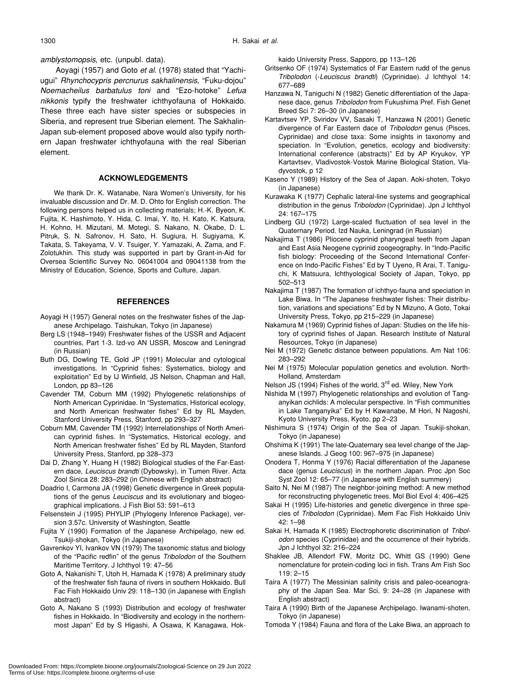*amblystomopsis*, etc. (unpubl. data).

Aoyagi (1957) and Goto *et al*. (1978) stated that "Yachiugui" *Rhynchocypris percnurus sakhalinensis*, "Fuku-dojou" *Noemacheilus barbatulus toni* and "Ezo-hotoke" *Lefua nikkonis* typify the freshwater ichthyofauna of Hokkaido. These three each have sister species or subspecies in Siberia, and represent true Siberian element. The Sakhalin-Japan sub-element proposed above would also typify northern Japan freshwater ichthyofauna with the real Siberian element.

#### **ACKNOWLEDGEMENTS**

We thank Dr. K. Watanabe, Nara Women's University, for his invaluable discussion and Dr. M. D. Ohto for English correction. The following persons helped us in collecting materials; H.-K. Byeon, K. Fujita, K. Hashimoto, Y. Hida, C. Imai, Y. Ito, H. Kato, K. Katsura, H. Kohno, H. Mizutani, M. Motegi, S. Nakano, N. Okabe, D. L. Pitruk, S. N. Safronov, H. Sato, H. Sugiura, H. Sugiyama, K. Takata, S. Takeyama, V. V. Tsuiger, Y. Yamazaki, A. Zama, and F. Zolotukhin. This study was supported in part by Grant-in-Aid for Oversea Scientific Survey No. 06041004 and 09041138 from the Ministry of Education, Science, Sports and Culture, Japan.

#### **REFERENCES**

- Aoyagi H (1957) General notes on the freshwater fishes of the Japanese Archipelago. Taishukan, Tokyo (in Japanese)
- Berg LS (1948–1949) Freshwater fishes of the USSR and Adjacent countries, Part 1-3. Izd-vo AN USSR, Moscow and Leningrad (in Russian)
- Buth DG, Dowling TE, Gold JP (1991) Molecular and cytological investigations. In "Cyprinid fishes: Systematics, biology and exploitation" Ed by IJ Winfield, JS Nelson, Chapman and Hall, London, pp 83–126
- Cavender TM, Coburn MM (1992) Phylogenetic relationships of North American Cyprinidae. In "Systematics, Historical ecology, and North American freshwater fishes" Ed by RL Mayden, Stanford University Press, Stanford, pp 293–327
- Coburn MM, Cavender TM (1992) Interrelationships of North American cyprinid fishes. In "Systematics, Historical ecology, and North American freshwater fishes" Ed by RL Mayden, Stanford University Press, Stanford, pp 328–373
- Dai D, Zhang Y, Huang H (1982) Biological studies of the Far-Eastern dace, *Leuciscus brandti* (Dybowsky), in Tumen River. Acta Zool Sinica 28: 283–292 (in Chinese with English abstract)
- Doadrio I, Carmona JA (1998) Genetic divergence in Greek populations of the genus *Leuciscus* and its evolutionary and biogeographical implications. J Fish Biol 53: 591–613
- Felsenstein J (1995) PHYLIP (Phylogeny Inference Package), version 3.57c. University of Washington, Seattle
- Fujita Y (1990) Formation of the Japanese Archipelago, new ed. Tsukiji-shokan, Tokyo (in Japanese)
- Gavrenkov YI, Ivankov VN (1979) The taxonomic status and biology of the "Pacific redfin" of the genus *Tribolodon* of the Southern Maritime Territory. J Ichthyol 19: 47–56
- Goto A, Nakanishi T, Utoh H, Hamada K (1978) A preliminary study of the freshwater fish fauna of rivers in southern Hokkaido. Bull Fac Fish Hokkaido Univ 29: 118–130 (in Japanese with English abstract)
- Goto A, Nakano S (1993) Distribution and ecology of freshwater fishes in Hokkaido. In "Biodiversity and ecology in the northernmost Japan" Ed by S Higashi, A Osawa, K Kanagawa, Hok-

kaido University Press, Sapporo, pp 113–126

- Gritsenko OF (1974) Systematics of Far Eastern rudd of the genus *Tribolodon* (-*Leuciscus brandti*) (Cyprinidae). J Ichthyol 14: 677–689
- Hanzawa N, Taniguchi N (1982) Genetic differentiation of the Japanese dace, genus *Tribolodon* from Fukushima Pref. Fish Genet Breed Sci 7: 26–30 (in Japanese)
- Kartavtsev YP, Sviridov VV, Sasaki T, Hanzawa N (2001) Genetic divergence of Far Eastern dace of *Tribolodon* genus (Pisces, Cyprinidae) and close taxa: Some insights in taxonomy and speciation. In "Evolution, genetics, ecology and biodiversity: International conference (abstracts)" Ed by AP Kryukov, YP Kartavtsev, Vladivostok-Vostok Marine Biological Station, Vladyvostok, p 12
- Kaseno Y (1989) History of the Sea of Japan. Aoki-shoten, Tokyo (in Japanese)
- Kurawaka K (1977) Cephalic lateral-line systems and geographical distribution in the genus *Tribolodon* (Cyprinidae). Jpn J Ichthyol 24: 167–175
- Lindberg GU (1972) Large-scaled fluctuation of sea level in the Quaternary Period. Izd Nauka, Leningrad (in Russian)
- Nakajima T (1986) Pliocene cyprinid pharyngeal teeth from Japan and East Asia Neogene cyprinid zoogeography. In "Indo-Pacific fish biology: Proceeding of the Second International Conference on Indo-Pacific Fishes" Ed by T Uyeno, R Arai, T. Taniguchi, K Matsuura, Ichthyological Society of Japan, Tokyo, pp 502–513
- Nakajima T (1987) The formation of ichthyo-fauna and speciation in Lake Biwa. In "The Japanese freshwater fishes: Their distribution, variations and speciations" Ed by N Mizuno, A Goto, Tokai University Press, Tokyo, pp 215–229 (in Japanese)
- Nakamura M (1969) Cyprinid fishes of Japan: Studies on the life history of cyprinid fishes of Japan. Research Institute of Natural Resources, Tokyo (in Japanese)
- Nei M (1972) Genetic distance between populations. Am Nat 106: 283–292
- Nei M (1975) Molecular population genetics and evolution. North-Holland, Amsterdam
- Nelson JS (1994) Fishes of the world, 3<sup>rd</sup> ed. Wiley, New York
- Nishida M (1997) Phylogenetic relationships and evolution of Tanganyikan cichlids: A molecular perspective. In "Fish communities in Lake Tanganyika" Ed by H Kawanabe, M Hori, N Nagoshi, Kyoto University Press, Kyoto, pp 2–23
- Nishimura S (1974) Origin of the Sea of Japan. Tsukiji-shokan, Tokyo (in Japanese)
- Ohshima K (1991) The late-Quaternary sea level change of the Japanese Islands. J Geog 100: 967–975 (in Japanese)
- Onodera T, Honma Y (1976) Racial differentiation of the Japanese dace (genus *Leuciscus*) in the northern Japan. Proc Jpn Soc Syst Zool 12: 65–77 (in Japanese with English summery)
- Saito N, Nei M (1987) The neighbor-joining method: A new method for reconstructing phylogenetic trees. Mol Biol Evol 4: 406–425
- Sakai H (1995) Life-histories and genetic divergence in three species of *Tribolodon* (Cyprinidae). Mem Fac Fish Hokkaido Univ 42: 1–98
- Sakai H, Hamada K (1985) Electrophoretic discrimination of *Tribolodon* species (Cyprinidae) and the occurrence of their hybrids. Jpn J Ichthyol 32: 216–224
- Shaklee JB, Allendorf FW, Moritz DC, Whitt GS (1990) Gene nomenclature for protein-coding loci in fish. Trans Am Fish Soc 119: 2–15
- Taira A (1977) The Messinian salinity crisis and paleo-oceanography of the Japan Sea. Mar Sci, 9: 24–28 (in Japanese with English abstract)
- Taira A (1990) Birth of the Japanese Archipelago. Iwanami-shoten, Tokyo (in Japanese)
- Tomoda Y (1984) Fauna and flora of the Lake Biwa, an approach to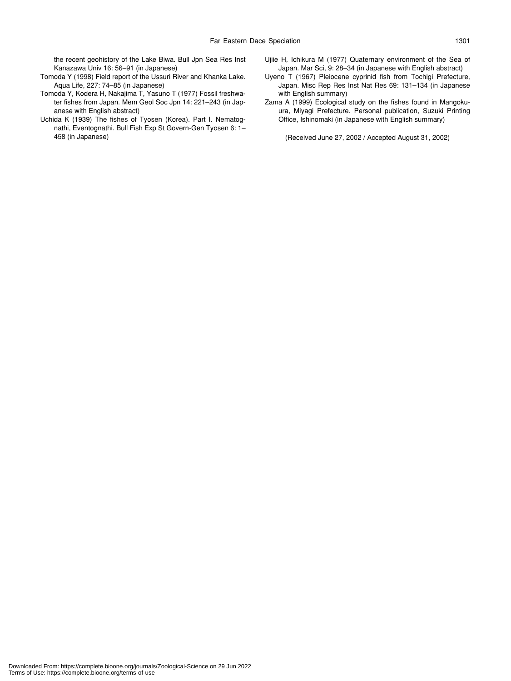the recent geohistory of the Lake Biwa. Bull Jpn Sea Res Inst Kanazawa Univ 16: 56–91 (in Japanese)

- Tomoda Y (1998) Field report of the Ussuri River and Khanka Lake. Aqua Life, 227: 74–85 (in Japanese)
- Tomoda Y, Kodera H, Nakajima T, Yasuno T (1977) Fossil freshwater fishes from Japan. Mem Geol Soc Jpn 14: 221–243 (in Japanese with English abstract)
- Uchida K (1939) The fishes of Tyosen (Korea). Part I. Nematognathi, Eventognathi. Bull Fish Exp St Govern-Gen Tyosen 6: 1– 458 (in Japanese)
- Ujiie H, Ichikura M (1977) Quaternary environment of the Sea of Japan. Mar Sci, 9: 28–34 (in Japanese with English abstract)
- Uyeno T (1967) Pleiocene cyprinid fish from Tochigi Prefecture, Japan. Misc Rep Res Inst Nat Res 69: 131–134 (in Japanese with English summary)
- Zama A (1999) Ecological study on the fishes found in Mangokuura, Miyagi Prefecture. Personal publication, Suzuki Printing Office, Ishinomaki (in Japanese with English summary)

(Received June 27, 2002 / Accepted August 31, 2002)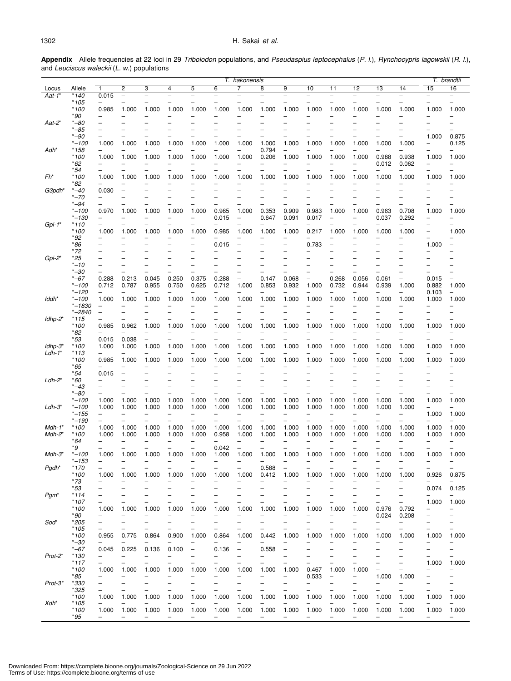**Appendix** Allele frequencies at 22 loci in 29 *Tribolodon* populations, and *Pseudaspius leptocephalus* (*P. l*.), *Rynchocypris lagowskii* (*R. l.*), and *Leuciscus waleckii* (*L. w*.) populations

|                      |                        | T. hakonensis            |                          |                          |                          |                          |                          |                          |                          |                          |                          |                          |                | T. brandtii              |                                                      |                                               |                          |
|----------------------|------------------------|--------------------------|--------------------------|--------------------------|--------------------------|--------------------------|--------------------------|--------------------------|--------------------------|--------------------------|--------------------------|--------------------------|----------------|--------------------------|------------------------------------------------------|-----------------------------------------------|--------------------------|
| Locus                | Allele                 | $\mathbf{1}$             | $\overline{c}$           | 3                        | 4                        | 5                        | 6                        | 7                        | 8                        | 9                        | 10                       | 11                       | 12             | 13                       | 14                                                   | 15                                            | 16                       |
| $Aat-1$ <sup>*</sup> | $*140$                 | 0.015                    | $\qquad \qquad -$        | $\overline{\phantom{0}}$ | $\overline{\phantom{0}}$ | $\overline{\phantom{0}}$ | L.                       |                          | $\overline{\phantom{0}}$ | $\overline{\phantom{0}}$ | $\equiv$                 | $\overline{\phantom{0}}$ | $\equiv$       | $\overline{\phantom{0}}$ | $\equiv$                                             | $\overline{\phantom{0}}$                      | $\equiv$                 |
|                      | * 105                  |                          |                          |                          |                          |                          |                          |                          |                          |                          |                          |                          |                |                          |                                                      |                                               |                          |
|                      | * 100                  | 0.985                    | 1.000                    | 1.000                    | 1.000                    | 1.000                    | 1.000                    | 1.000                    | 1.000                    | 1.000                    | 1.000                    | 1.000                    | 1.000          | 1.000                    | 1.000                                                | 1.000                                         | 1.000                    |
|                      | *90                    |                          |                          |                          |                          |                          |                          |                          |                          |                          |                          |                          |                |                          |                                                      | $\overline{\phantom{0}}$                      |                          |
| $Aat-2^*$            | $* - 80$               |                          |                          |                          |                          |                          |                          |                          |                          |                          |                          |                          |                |                          |                                                      | -                                             |                          |
|                      | $* -85$<br>$* -90$     |                          |                          |                          |                          |                          |                          |                          |                          |                          |                          |                          |                |                          |                                                      | 1.000                                         | 0.875                    |
|                      | $* - 100$              | 1.000                    | 1.000                    | 1.000                    | 1.000                    | 1.000                    | 1.000                    | 1.000                    | 1.000                    | 1.000                    | 1.000                    | 1.000                    | 1.000          | 1.000                    | 1.000                                                | $\overline{\phantom{0}}$                      | 0.125                    |
| Adh*                 | * 158                  |                          |                          |                          |                          |                          |                          | ÷,                       | 0.794                    | $\overline{\phantom{0}}$ |                          |                          |                |                          | —                                                    | $\overline{\phantom{0}}$                      |                          |
|                      | * 100                  | 1.000                    | 1.000                    | 1.000                    | 1.000                    | 1.000                    | 1.000                    | 1.000                    | 0.206                    | 1.000                    | 1.000                    | 1.000                    | 1.000          | 0.988                    | 0.938                                                | 1.000                                         | 1.000                    |
|                      | *62                    |                          |                          |                          |                          |                          |                          |                          |                          |                          |                          |                          |                | 0.012                    | 0.062                                                | $\overline{\phantom{0}}$                      |                          |
|                      | *54                    |                          |                          |                          |                          | $\overline{\phantom{0}}$ | -                        | -                        | -                        |                          |                          |                          |                | -                        | -                                                    | $\overline{\phantom{0}}$                      |                          |
| Fh*                  | * 100                  | 1.000                    | 1.000                    | 1.000                    | 1.000                    | 1.000                    | 1.000                    | 1.000                    | 1.000                    | 1.000                    | 1.000                    | 1.000                    | 1.000          | 1.000                    | 1.000                                                | 1.000                                         | 1.000                    |
|                      | *82                    |                          |                          |                          |                          |                          |                          |                          |                          |                          |                          |                          |                |                          |                                                      |                                               |                          |
| G3pdh*               | *–40                   | 0.030                    |                          |                          |                          |                          |                          |                          |                          |                          |                          |                          |                |                          |                                                      | -                                             |                          |
|                      | $*-70$<br>$* - 94$     |                          |                          |                          |                          |                          |                          |                          |                          |                          |                          |                          |                |                          |                                                      | $\overline{\phantom{0}}$                      |                          |
|                      | $* - 100$              | 0.970                    | 1.000                    | 1.000                    | 1.000                    | 1.000                    | 0.985                    | 1.000                    | 0.353                    | 0.909                    | 0.983                    | 1.000                    | 1.000          | 0.963                    | 0.708                                                | ÷<br>1.000                                    | 1.000                    |
|                      | *–130                  |                          |                          |                          |                          |                          | 0.015                    | L,                       | 0.647                    | 0.091                    | 0.017                    | Ē,                       |                | 0.037                    | 0.292                                                | $\overline{\phantom{0}}$                      |                          |
| Gpi-1*               | *110                   |                          |                          |                          |                          |                          |                          |                          |                          |                          |                          |                          |                |                          |                                                      |                                               |                          |
|                      | * 100                  | 1.000                    | 1.000                    | 1.000                    | 1.000                    | 1.000                    | 0.985                    | 1.000                    | 1.000                    | 1.000                    | 0.217                    | 1.000                    | 1.000          | 1.000                    | 1.000                                                | $\overline{\phantom{0}}$                      | 1.000                    |
|                      | *92                    |                          |                          |                          |                          |                          |                          |                          |                          |                          |                          |                          |                |                          |                                                      |                                               |                          |
|                      | *86                    |                          |                          |                          |                          |                          | 0.015                    |                          |                          |                          | 0.783                    |                          |                |                          |                                                      | 1.000                                         |                          |
|                      | * 72                   |                          |                          |                          |                          |                          |                          |                          |                          |                          |                          |                          |                |                          |                                                      |                                               |                          |
| Gpi-2*               | *25                    |                          |                          |                          |                          |                          |                          |                          |                          |                          |                          |                          |                |                          |                                                      |                                               |                          |
|                      | $^*$ -10               |                          |                          |                          |                          |                          |                          |                          |                          |                          |                          |                          |                |                          |                                                      |                                               |                          |
|                      | $* - 30$<br>*–67       | $\equiv$                 | 0.213                    |                          | 0.250                    | 0.375                    | 0.288                    | ÷,                       |                          | 0.068                    | L.                       | 0.268                    |                | 0.061                    | $\overline{\phantom{0}}$<br>$\overline{\phantom{0}}$ |                                               |                          |
|                      | $* - 100$              | 0.288<br>0.712           | 0.787                    | 0.045<br>0.955           | 0.750                    | 0.625                    | 0.712                    | 1.000                    | 0.147<br>0.853           | 0.932                    | 1.000                    | 0.732                    | 0.056<br>0.944 | 0.939                    | 1.000                                                | 0.015<br>0.882                                | 1.000                    |
|                      | *–120                  |                          |                          |                          |                          |                          |                          |                          |                          |                          |                          |                          |                |                          | ▃                                                    | 0.103                                         |                          |
| lddh*                | *–100                  | 1.000                    | 1.000                    | 1.000                    | 1.000                    | 1.000                    | 1.000                    | 1.000                    | 1.000                    | 1.000                    | 1.000                    | 1.000                    | 1.000          | 1.000                    | 1.000                                                | 1.000                                         | 1.000                    |
|                      | $* - 1830$             |                          |                          |                          |                          |                          |                          |                          |                          |                          |                          |                          |                |                          |                                                      |                                               |                          |
|                      | *–2840                 | $\qquad \qquad -$        |                          |                          |                          |                          |                          |                          |                          |                          |                          |                          |                |                          |                                                      | ۳                                             |                          |
| ldhp-2*              | *115                   |                          |                          |                          |                          |                          |                          |                          |                          |                          |                          |                          |                |                          |                                                      | $\overline{\phantom{0}}$                      |                          |
|                      | * 100                  | 0.985                    | 0.962                    | 1.000                    | 1.000                    | 1.000                    | 1.000                    | 1.000                    | 1.000                    | 1.000                    | 1.000                    | 1.000                    | 1.000          | 1.000                    | 1.000                                                | 1.000                                         | 1.000                    |
|                      | *82                    |                          |                          |                          |                          |                          |                          |                          |                          |                          |                          |                          |                |                          | $\overline{\phantom{0}}$                             | $\overline{\phantom{0}}$                      |                          |
| $Idhp-3*$<br>Ldh-1*  | *53                    | 0.015                    | 0.038                    | L,                       | $\overline{\phantom{0}}$ | $\overline{\phantom{0}}$ | $\overline{\phantom{0}}$ | ▃                        | $\overline{\phantom{0}}$ | $\overline{\phantom{0}}$ | $\overline{\phantom{0}}$ | $\overline{\phantom{0}}$ | -              | -                        | -                                                    | $\qquad \qquad -$                             |                          |
|                      | * 100<br>*113          | 1.000                    | 1.000                    | 1.000                    | 1.000                    | 1.000                    | 1.000                    | 1.000                    | 1.000                    | 1.000                    | 1.000                    | 1.000                    | 1.000          | 1.000                    | 1.000                                                | 1.000                                         | 1.000                    |
|                      | * 100                  | 0.985                    | 1.000                    | 1.000                    | 1.000                    | 1.000                    | 1.000                    | 1.000                    | 1.000                    | 1.000                    | 1.000                    | 1.000                    | 1.000          | 1.000                    | 1.000                                                | 1.000                                         | 1.000                    |
|                      | *65                    |                          |                          |                          |                          |                          |                          |                          |                          |                          |                          |                          |                |                          |                                                      |                                               |                          |
|                      | *54                    | 0.015                    |                          |                          |                          |                          |                          |                          |                          |                          |                          |                          |                |                          |                                                      |                                               |                          |
| Ldh-2*               | *60                    |                          |                          |                          |                          |                          |                          |                          |                          |                          |                          |                          |                |                          |                                                      |                                               |                          |
|                      | $^*$ –43               |                          |                          |                          |                          |                          |                          |                          |                          |                          |                          |                          |                |                          |                                                      |                                               |                          |
|                      | $* - 80$               |                          |                          |                          |                          |                          |                          |                          |                          |                          |                          |                          |                |                          |                                                      | $\overline{\phantom{0}}$                      |                          |
|                      | $* - 100$<br>$* - 100$ | 1.000<br>1.000           | 1.000<br>1.000           | 1.000                    | 1.000<br>1.000           | 1.000<br>1.000           | 1.000                    | 1.000                    | 1.000                    | 1.000                    | 1.000                    | 1.000<br>1.000           | 1.000<br>1.000 | 1.000<br>1.000           | 1.000                                                | 1.000<br>$\overline{\phantom{0}}$             | 1.000                    |
| $Ldh-3^*$            | $* - 155$              | $\overline{\phantom{0}}$ |                          | 1.000                    |                          |                          | 1.000                    | 1.000                    | 1.000                    | 1.000                    | 1.000                    |                          |                |                          | 1.000<br>—                                           | 1.000                                         | 1.000                    |
|                      | *–190                  | $\overline{\phantom{0}}$ |                          |                          |                          |                          |                          |                          | $\overline{\phantom{0}}$ |                          |                          |                          |                |                          |                                                      |                                               |                          |
| $Mdh-1^*$            | * 100                  | 1.000                    | 1.000                    | 1.000                    | 1.000                    | 1.000                    | 1.000                    | 1.000                    | 1.000                    | 1.000                    | 1.000                    | 1.000                    | 1.000          | 1.000                    | 1.000                                                | 1.000                                         | 1.000                    |
| Mdh-2*               | * 100                  | 1.000                    | 1.000                    | 1.000                    | 1.000                    | 1.000                    | 0.958                    | 1.000                    | 1.000                    | 1.000                    | 1.000                    | 1.000                    | 1.000          | 1.000                    | 1.000                                                | 1.000                                         | 1.000                    |
|                      | *64                    |                          |                          |                          |                          |                          |                          |                          |                          |                          |                          |                          |                |                          |                                                      |                                               |                          |
|                      | *9                     |                          |                          |                          |                          |                          | 0.042                    | Ē,                       | $\overline{\phantom{0}}$ |                          |                          |                          |                |                          |                                                      | $\overline{\phantom{0}}$                      |                          |
| $Mdh-3^*$            | *–100                  | 1.000                    | 1.000                    | 1.000                    | 1.000                    | 1.000                    | 1.000                    | 1.000                    | 1.000                    | 1.000                    | 1.000                    | 1.000                    | 1.000          | 1.000                    | 1.000                                                | 1.000                                         | 1.000                    |
|                      | *–153                  |                          |                          |                          |                          |                          |                          |                          |                          |                          |                          |                          |                |                          |                                                      |                                               | $\overline{\phantom{0}}$ |
| Pgdh*                | * 170                  | $\overline{\phantom{0}}$ |                          |                          |                          |                          |                          | $\overline{\phantom{0}}$ | 0.588                    | $\overline{\phantom{0}}$ |                          |                          |                |                          |                                                      | $\overline{\phantom{0}}$                      |                          |
|                      | * 100<br>* 73          | 1.000                    | 1.000                    | 1.000                    | 1.000                    | 1.000                    | 1.000                    | 1.000                    | 0.412                    | 1.000                    | 1.000                    | 1.000                    | 1.000          | 1.000                    | 1.000                                                | 0.926                                         | 0.875                    |
|                      | *53                    | $\qquad \qquad$          |                          |                          |                          |                          |                          |                          |                          |                          |                          |                          |                | -                        | $\overline{\phantom{0}}$                             | 0.074                                         | 0.125                    |
| Pgm*                 | *114                   |                          |                          |                          |                          |                          |                          |                          |                          |                          |                          |                          |                |                          | -                                                    |                                               |                          |
|                      | * 107                  |                          |                          |                          |                          |                          |                          |                          |                          |                          |                          |                          |                |                          | —                                                    | 1.000                                         | 1.000                    |
|                      | * 100                  | 1.000                    | 1.000                    | 1.000                    | 1.000                    | 1.000                    | 1.000                    | 1.000                    | 1.000                    | 1.000                    | 1.000                    | 1.000                    | 1.000          | 0.976                    | 0.792                                                | -                                             |                          |
|                      | *90                    |                          |                          |                          |                          |                          |                          |                          |                          |                          |                          |                          |                | 0.024                    | 0.208                                                | $\qquad \qquad -$                             |                          |
| Soď                  | *205                   | $\qquad \qquad -$        |                          |                          |                          |                          |                          |                          |                          |                          |                          |                          |                |                          | -                                                    | $\qquad \qquad$                               | -                        |
|                      | * 105                  |                          |                          |                          |                          |                          |                          |                          |                          |                          |                          |                          |                |                          | $\overline{\phantom{0}}$                             | $\overline{\phantom{0}}$                      |                          |
|                      | * 100                  | 0.955                    | 0.775                    | 0.864                    | 0.900                    | 1.000                    | 0.864                    | 1.000                    | 0.442                    | 1.000                    | 1.000                    | 1.000                    | 1.000          | 1.000                    | 1.000                                                | 1.000                                         | 1.000                    |
|                      | $* - 30$<br>*–67       | 0.045                    | 0.225                    | 0.136                    | 0.100                    | $\overline{\phantom{0}}$ | 0.136                    | $\qquad \qquad -$        | 0.558                    |                          |                          |                          |                |                          | -<br>-                                               | $\overline{\phantom{0}}$<br>$\qquad \qquad -$ |                          |
| Prot-2*              | * 130                  |                          |                          |                          |                          |                          |                          |                          |                          |                          |                          |                          |                |                          |                                                      |                                               |                          |
|                      | *117                   |                          |                          |                          |                          |                          |                          |                          |                          |                          |                          |                          |                |                          | -                                                    | 1.000                                         | 1.000                    |
|                      | $*100$                 | 1.000                    | 1.000                    | 1.000                    | 1.000                    | 1.000                    | 1.000                    | 1.000                    | 1.000                    | 1.000                    | 0.467                    | 1.000                    | 1.000          | -                        | $\overline{\phantom{0}}$                             | $\overline{\phantom{0}}$                      |                          |
|                      | *85                    |                          |                          |                          |                          |                          |                          |                          |                          |                          | 0.533                    |                          |                | 1.000                    | 1.000                                                | $\qquad \qquad -$                             | $\overline{\phantom{0}}$ |
| $Prot-3^*$           | *330                   |                          |                          |                          |                          |                          |                          |                          |                          |                          |                          |                          |                |                          |                                                      | $\overline{\phantom{0}}$                      |                          |
|                      | *325                   |                          |                          |                          |                          |                          |                          |                          |                          |                          |                          |                          |                |                          | L,                                                   | $\overline{\phantom{0}}$                      |                          |
|                      | * 100                  | 1.000                    | 1.000                    | 1.000                    | 1.000                    | 1.000                    | 1.000                    | 1.000                    | 1.000                    | 1.000                    | 1.000                    | 1.000                    | 1.000          | 1.000                    | 1.000                                                | 1.000                                         | 1.000                    |
| Xdh*                 | * 105<br>* 100         | 1.000                    | 1.000                    | 1.000                    | 1.000                    | 1.000                    | 1.000                    | 1.000                    | 1.000                    | 1.000                    | 1.000                    | 1.000                    | 1.000          | 1.000                    | 1.000                                                | 1.000                                         | 1.000                    |
|                      | *95                    | $\qquad \qquad -$        | $\overline{\phantom{m}}$ | -                        | -                        | $\overline{\phantom{0}}$ | $\qquad \qquad -$        | -                        | -                        | -                        | $\qquad \qquad -$        | $\overline{\phantom{m}}$ | -              | $\qquad \qquad -$        | -                                                    | -                                             | $\qquad \qquad -$        |
|                      |                        |                          |                          |                          |                          |                          |                          |                          |                          |                          |                          |                          |                |                          |                                                      |                                               |                          |